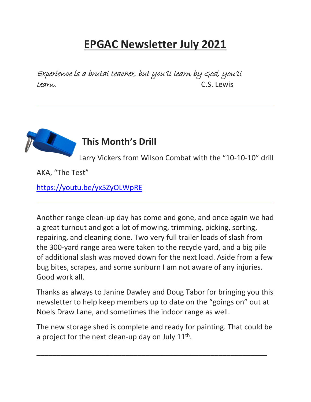## **EPGAC Newsletter July 2021**

Experience is a brutal teacher, but you'll learn by God, you'll learn. C.S. Lewis



Larry Vickers from Wilson Combat with the "10-10-10" drill

AKA, "The Test"

<https://youtu.be/yx5ZyOLWpRE>

Another range clean-up day has come and gone, and once again we had a great turnout and got a lot of mowing, trimming, picking, sorting, repairing, and cleaning done. Two very full trailer loads of slash from the 300-yard range area were taken to the recycle yard, and a big pile of additional slash was moved down for the next load. Aside from a few bug bites, scrapes, and some sunburn I am not aware of any injuries. Good work all.

Thanks as always to Janine Dawley and Doug Tabor for bringing you this newsletter to help keep members up to date on the "goings on" out at Noels Draw Lane, and sometimes the indoor range as well.

The new storage shed is complete and ready for painting. That could be a project for the next clean-up day on July  $11^{\text{th}}$ .

\_\_\_\_\_\_\_\_\_\_\_\_\_\_\_\_\_\_\_\_\_\_\_\_\_\_\_\_\_\_\_\_\_\_\_\_\_\_\_\_\_\_\_\_\_\_\_\_\_\_\_\_\_\_\_\_\_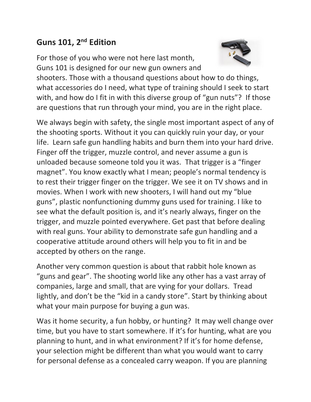## **Guns 101, 2nd Edition**

For those of you who were not here last month, Guns 101 is designed for our new gun owners and



shooters. Those with a thousand questions about how to do things, what accessories do I need, what type of training should I seek to start with, and how do I fit in with this diverse group of "gun nuts"? If those are questions that run through your mind, you are in the right place.

We always begin with safety, the single most important aspect of any of the shooting sports. Without it you can quickly ruin your day, or your life. Learn safe gun handling habits and burn them into your hard drive. Finger off the trigger, muzzle control, and never assume a gun is unloaded because someone told you it was. That trigger is a "finger magnet". You know exactly what I mean; people's normal tendency is to rest their trigger finger on the trigger. We see it on TV shows and in movies. When I work with new shooters, I will hand out my "blue guns", plastic nonfunctioning dummy guns used for training. I like to see what the default position is, and it's nearly always, finger on the trigger, and muzzle pointed everywhere. Get past that before dealing with real guns. Your ability to demonstrate safe gun handling and a cooperative attitude around others will help you to fit in and be accepted by others on the range.

Another very common question is about that rabbit hole known as "guns and gear". The shooting world like any other has a vast array of companies, large and small, that are vying for your dollars. Tread lightly, and don't be the "kid in a candy store". Start by thinking about what your main purpose for buying a gun was.

Was it home security, a fun hobby, or hunting? It may well change over time, but you have to start somewhere. If it's for hunting, what are you planning to hunt, and in what environment? If it's for home defense, your selection might be different than what you would want to carry for personal defense as a concealed carry weapon. If you are planning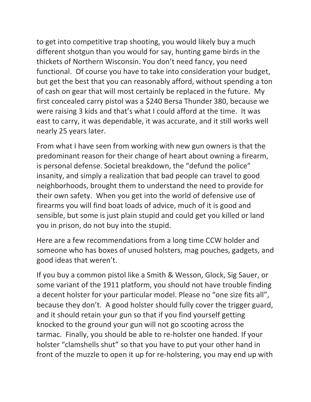to get into competitive trap shooting, you would likely buy a much different shotgun than you would for say, hunting game birds in the thickets of Northern Wisconsin. You don't need fancy, you need functional. Of course you have to take into consideration your budget, but get the best that you can reasonably afford, without spending a ton of cash on gear that will most certainly be replaced in the future. My first concealed carry pistol was a \$240 Bersa Thunder 380, because we were raising 3 kids and that's what I could afford at the time. It was east to carry, it was dependable, it was accurate, and it still works well nearly 25 years later.

From what I have seen from working with new gun owners is that the predominant reason for their change of heart about owning a firearm, is personal defense. Societal breakdown, the "defund the police" insanity, and simply a realization that bad people can travel to good neighborhoods, brought them to understand the need to provide for their own safety. When you get into the world of defensive use of firearms you will find boat loads of advice, much of it is good and sensible, but some is just plain stupid and could get you killed or land you in prison, do not buy into the stupid.

Here are a few recommendations from a long time CCW holder and someone who has boxes of unused holsters, mag pouches, gadgets, and good ideas that weren't.

If you buy a common pistol like a Smith & Wesson, Glock, Sig Sauer, or some variant of the 1911 platform, you should not have trouble finding a decent holster for your particular model. Please no "one size fits all", because they don't. A good holster should fully cover the trigger guard, and it should retain your gun so that if you find yourself getting knocked to the ground your gun will not go scooting across the tarmac. Finally, you should be able to re-holster one handed. If your holster "clamshells shut" so that you have to put your other hand in front of the muzzle to open it up for re-holstering, you may end up with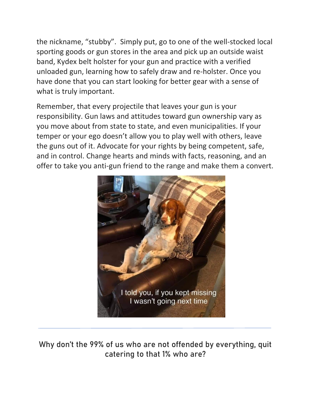the nickname, "stubby". Simply put, go to one of the well-stocked local sporting goods or gun stores in the area and pick up an outside waist band, Kydex belt holster for your gun and practice with a verified unloaded gun, learning how to safely draw and re-holster. Once you have done that you can start looking for better gear with a sense of what is truly important.

Remember, that every projectile that leaves your gun is your responsibility. Gun laws and attitudes toward gun ownership vary as you move about from state to state, and even municipalities. If your temper or your ego doesn't allow you to play well with others, leave the guns out of it. Advocate for your rights by being competent, safe, and in control. Change hearts and minds with facts, reasoning, and an offer to take you anti-gun friend to the range and make them a convert.



Why don't the 99% of us who are not offended by everything, quit catering to that 1% who are?